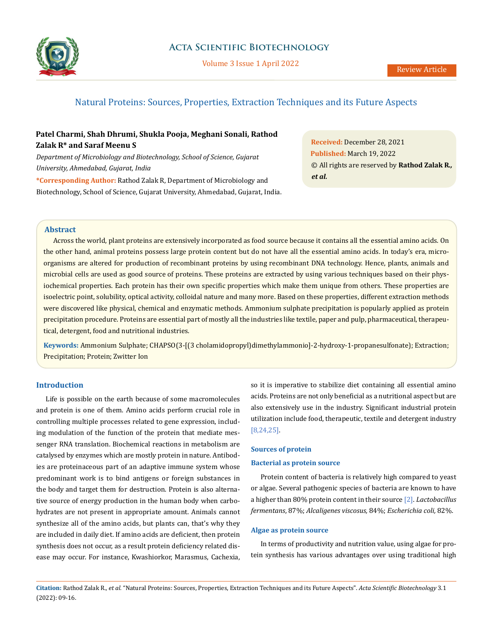

Volume 3 Issue 1 April 2022

# Natural Proteins: Sources, Properties, Extraction Techniques and its Future Aspects

# **Patel Charmi, Shah Dhrumi, Shukla Pooja, Meghani Sonali, Rathod Zalak R\* and Saraf Meenu S**

*Department of Microbiology and Biotechnology, School of Science, Gujarat University, Ahmedabad, Gujarat, India*

**\*Corresponding Author:** Rathod Zalak R, Department of Microbiology and Biotechnology, School of Science, Gujarat University, Ahmedabad, Gujarat, India.

**Received:** December 28, 2021 **Published:** March 19, 2022 © All rights are reserved by **Rathod Zalak R***., et al.*

#### **Abstract**

Across the world, plant proteins are extensively incorporated as food source because it contains all the essential amino acids. On the other hand, animal proteins possess large protein content but do not have all the essential amino acids. In today's era, microorganisms are altered for production of recombinant proteins by using recombinant DNA technology. Hence, plants, animals and microbial cells are used as good source of proteins. These proteins are extracted by using various techniques based on their physiochemical properties. Each protein has their own specific properties which make them unique from others. These properties are isoelectric point, solubility, optical activity, colloidal nature and many more. Based on these properties, different extraction methods were discovered like physical, chemical and enzymatic methods. Ammonium sulphate precipitation is popularly applied as protein precipitation procedure. Proteins are essential part of mostly all the industries like textile, paper and pulp, pharmaceutical, therapeutical, detergent, food and nutritional industries.

**Keywords:** Ammonium Sulphate; CHAPSO(3-[(3 cholamidopropyl)dimethylammonio]-2-hydroxy-1-propanesulfonate); Extraction; Precipitation; Protein; Zwitter Ion

# **Introduction**

Life is possible on the earth because of some macromolecules and protein is one of them. Amino acids perform crucial role in controlling multiple processes related to gene expression, including modulation of the function of the protein that mediate messenger RNA translation. Biochemical reactions in metabolism are catalysed by enzymes which are mostly protein in nature. Antibodies are proteinaceous part of an adaptive immune system whose predominant work is to bind antigens or foreign substances in the body and target them for destruction. Protein is also alternative source of energy production in the human body when carbohydrates are not present in appropriate amount. Animals cannot synthesize all of the amino acids, but plants can, that's why they are included in daily diet. If amino acids are deficient, then protein synthesis does not occur, as a result protein deficiency related disease may occur. For instance, Kwashiorkor, Marasmus, Cachexia, so it is imperative to stabilize diet containing all essential amino acids. Proteins are not only beneficial as a nutritional aspect but are also extensively use in the industry. Significant industrial protein utilization include food, therapeutic, textile and detergent industry [8,24,25].

# **Sources of protein**

#### **Bacterial as protein source**

Protein content of bacteria is relatively high compared to yeast or algae. Several pathogenic species of bacteria are known to have a higher than 80% protein content in their source [2]. *Lactobacillus fermentans*, 87%; *Alcaligenes viscosus,* 84%; *Escherichia coli,* 82%.

#### **Algae as protein source**

In terms of productivity and nutrition value, using algae for protein synthesis has various advantages over using traditional high

**Citation:** Rathod Zalak R*., et al.* "Natural Proteins: Sources, Properties, Extraction Techniques and its Future Aspects". *Acta Scientific Biotechnology* 3.1 (2022): 09-16.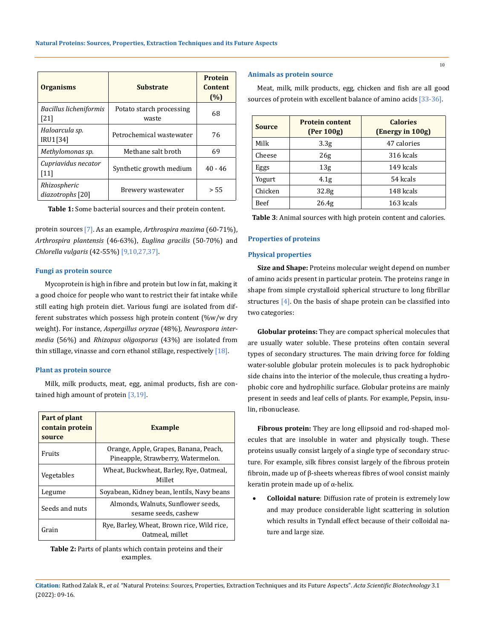| <b>Organisms</b>                 | <b>Substrate</b>                  | <b>Protein</b><br><b>Content</b><br>(%) |
|----------------------------------|-----------------------------------|-----------------------------------------|
| Bacillus licheniformis<br>[21]   | Potato starch processing<br>waste | 68                                      |
| Haloarcula sp.<br>IRU1[34]       | Petrochemical wastewater          | 76                                      |
| Methylomonas sp.                 | Methane salt broth                | 69                                      |
| Cupriavidus necator<br>[11]      | Synthetic growth medium           | $40 - 46$                               |
| Rhizospheric<br>diazotrophs [20] | Brewery wastewater                | > 55                                    |

**Table 1:** Some bacterial sources and their protein content.

protein sources [7]. As an example, *Arthrospira maxima* (60-71%), *Arthrospira plantensis* (46-63%), *Euglina gracilis* (50-70%) and *Chlorella vulgaris* (42-55%) [9,10,27,37].

# **Fungi as protein source**

Mycoprotein is high in fibre and protein but low in fat, making it a good choice for people who want to restrict their fat intake while still eating high protein diet. Various fungi are isolated from different substrates which possess high protein content (%w/w dry weight). For instance, *Aspergillus oryzae* (48%), *Neurospora intermedia* (56%) and *Rhizopus oligosporus* (43%) are isolated from thin stillage, vinasse and corn ethanol stillage, respectively  $[18]$ .

#### **Plant as protein source**

Milk, milk products, meat, egg, animal products, fish are contained high amount of protein [3,19].

| Part of plant<br>contain protein<br>source | <b>Example</b>                                                              |
|--------------------------------------------|-----------------------------------------------------------------------------|
| Fruits                                     | Orange, Apple, Grapes, Banana, Peach,<br>Pineapple, Strawberry, Watermelon. |
| Vegetables                                 | Wheat, Buckwheat, Barley, Rye, Oatmeal,<br>Millet                           |
| Legume                                     | Sovabean, Kidney bean, lentils, Navy beans                                  |
| Seeds and nuts                             | Almonds, Walnuts, Sunflower seeds,<br>sesame seeds, cashew                  |
| Grain                                      | Rye, Barley, Wheat, Brown rice, Wild rice,<br>Oatmeal, millet               |

**Table 2:** Parts of plants which contain proteins and their examples.

# **Animals as protein source**

Meat, milk, milk products, egg, chicken and fish are all good sources of protein with excellent balance of amino acids [33-36].

| <b>Source</b> | <b>Protein content</b><br>(Per 100g) | <b>Calories</b><br>(Energy in 100g) |
|---------------|--------------------------------------|-------------------------------------|
| Milk          | 3.3 <sub>g</sub>                     | 47 calories                         |
| Cheese        | 26g                                  | 316 kcals                           |
| Eggs          | 13g                                  | 149 kcals                           |
| Yogurt        | 4.1g                                 | 54 kcals                            |
| Chicken       | 32.8 <sub>g</sub>                    | 148 kcals                           |
| Beef          | 26.4 <sub>g</sub>                    | 163 kcals                           |

**Table 3**: Animal sources with high protein content and calories.

### **Properties of proteins**

#### **Physical properties**

**Size and Shape:** Proteins molecular weight depend on number of amino acids present in particular protein. The proteins range in shape from simple crystalloid spherical structure to long fibrillar structures [4]. On the basis of shape protein can be classified into two categories:

**Globular proteins:** They are compact spherical molecules that are usually water soluble. These proteins often contain several types of secondary structures. The main driving force for folding water-soluble globular protein molecules is to pack hydrophobic side chains into the interior of the molecule, thus creating a hydrophobic core and hydrophilic surface. Globular proteins are mainly present in seeds and leaf cells of plants. For example, Pepsin, insulin, ribonuclease.

**Fibrous protein:** They are long ellipsoid and rod-shaped molecules that are insoluble in water and physically tough. These proteins usually consist largely of a single type of secondary structure. For example, silk fibres consist largely of the fibrous protein fibroin, made up of β-sheets whereas fibres of wool consist mainly keratin protein made up of α-helix.

**Colloidal nature**: Diffusion rate of protein is extremely low and may produce considerable light scattering in solution which results in Tyndall effect because of their colloidal nature and large size.

**Citation:** Rathod Zalak R*., et al.* "Natural Proteins: Sources, Properties, Extraction Techniques and its Future Aspects". *Acta Scientific Biotechnology* 3.1 (2022): 09-16.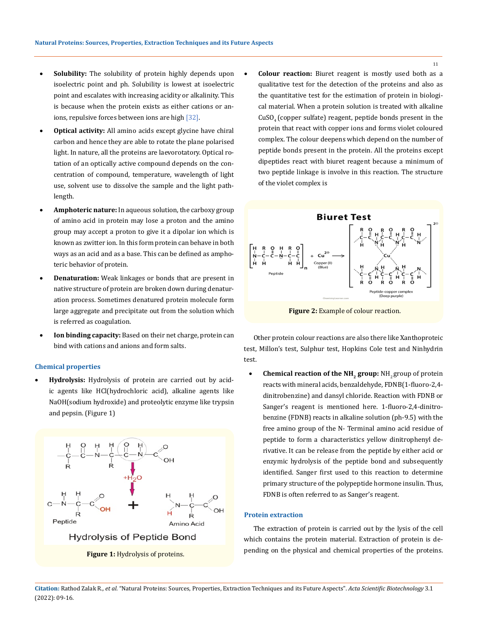- Solubility: The solubility of protein highly depends upon isoelectric point and ph. Solubility is lowest at isoelectric point and escalates with increasing acidity or alkalinity. This is because when the protein exists as either cations or anions, repulsive forces between ions are high [32].
- **Optical activity:** All amino acids except glycine have chiral carbon and hence they are able to rotate the plane polarised light. In nature, all the proteins are laevorotatory. Optical rotation of an optically active compound depends on the concentration of compound, temperature, wavelength of light use, solvent use to dissolve the sample and the light pathlength.
- Amphoteric nature: In aqueous solution, the carboxy group of amino acid in protein may lose a proton and the amino group may accept a proton to give it a dipolar ion which is known as zwitter ion. In this form protein can behave in both ways as an acid and as a base. This can be defined as amphoteric behavior of protein.
- **Denaturation:** Weak linkages or bonds that are present in native structure of protein are broken down during denaturation process. Sometimes denatured protein molecule form large aggregate and precipitate out from the solution which is referred as coagulation.
- **Ion binding capacity:** Based on their net charge, protein can bind with cations and anions and form salts.

#### **Chemical properties**

**Hydrolysis:** Hydrolysis of protein are carried out by acidic agents like HCl(hydrochloric acid), alkaline agents like NaOH(sodium hydroxide) and proteolytic enzyme like trypsin and pepsin. (Figure 1)



**Colour reaction:** Biuret reagent is mostly used both as a qualitative test for the detection of the proteins and also as the quantitative test for the estimation of protein in biological material. When a protein solution is treated with alkaline CuSO4 (copper sulfate) reagent, peptide bonds present in the protein that react with copper ions and forms violet coloured complex. The colour deepens which depend on the number of peptide bonds present in the protein. All the proteins except dipeptides react with biuret reagent because a minimum of two peptide linkage is involve in this reaction. The structure of the violet complex is



**Figure 2:** Example of colour reaction.

Other protein colour reactions are also there like Xanthoproteic test, Millon's test, Sulphur test, Hopkins Cole test and Ninhydrin test.

**Chemical reaction of the NH<sub>2</sub> group:** NH<sub>2</sub> group of protein reacts with mineral acids, benzaldehyde, FDNB(1-fluoro-2,4 dinitrobenzine) and dansyl chloride. Reaction with FDNB or Sanger's reagent is mentioned here. 1-fluoro-2,4-dinitrobenzine (FDNB) reacts in alkaline solution (ph-9.5) with the free amino group of the N- Terminal amino acid residue of peptide to form a characteristics yellow dinitrophenyl derivative. It can be release from the peptide by either acid or enzymic hydrolysis of the peptide bond and subsequently identified. Sanger first used to this reaction to determine primary structure of the polypeptide hormone insulin. Thus, FDNB is often referred to as Sanger's reagent.

#### **Protein extraction**

The extraction of protein is carried out by the lysis of the cell which contains the protein material. Extraction of protein is depending on the physical and chemical properties of the proteins.

**Citation:** Rathod Zalak R*., et al.* "Natural Proteins: Sources, Properties, Extraction Techniques and its Future Aspects". *Acta Scientific Biotechnology* 3.1 (2022): 09-16.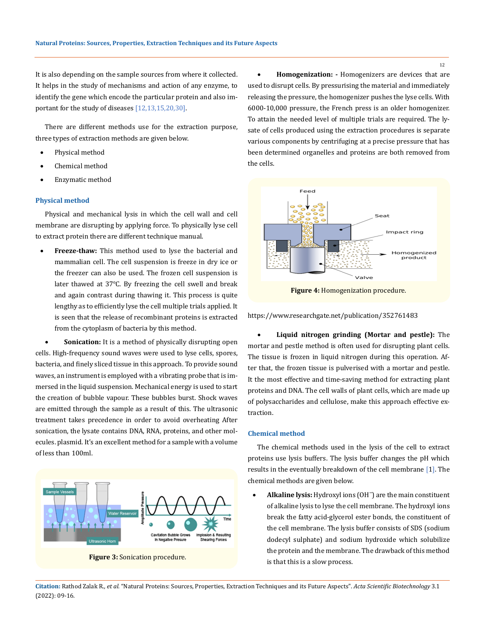It is also depending on the sample sources from where it collected. It helps in the study of mechanisms and action of any enzyme, to identify the gene which encode the particular protein and also important for the study of diseases [12,13,15,20,30].

There are different methods use for the extraction purpose, three types of extraction methods are given below.

- Physical method
- Chemical method
- Enzymatic method

### **Physical method**

Physical and mechanical lysis in which the cell wall and cell membrane are disrupting by applying force. To physically lyse cell to extract protein there are different technique manual.

Freeze-thaw: This method used to lyse the bacterial and mammalian cell. The cell suspension is freeze in dry ice or the freezer can also be used. The frozen cell suspension is later thawed at 37℃. By freezing the cell swell and break and again contrast during thawing it. This process is quite lengthy as to efficiently lyse the cell multiple trials applied. It is seen that the release of recombinant proteins is extracted from the cytoplasm of bacteria by this method.

**Sonication:** It is a method of physically disrupting open cells. High-frequency sound waves were used to lyse cells, spores, bacteria, and finely sliced tissue in this approach. To provide sound waves, an instrument is employed with a vibrating probe that is immersed in the liquid suspension. Mechanical energy is used to start the creation of bubble vapour. These bubbles burst. Shock waves are emitted through the sample as a result of this. The ultrasonic treatment takes precedence in order to avoid overheating After sonication, the lysate contains DNA, RNA, proteins, and other molecules. plasmid. It's an excellent method for a sample with a volume of less than 100ml.



**Figure 3:** Sonication procedure.

Homogenization: - Homogenizers are devices that are used to disrupt cells. By pressurising the material and immediately releasing the pressure, the homogenizer pushes the lyse cells. With 6000-10,000 pressure, the French press is an older homogenizer. To attain the needed level of multiple trials are required. The lysate of cells produced using the extraction procedures is separate various components by centrifuging at a precise pressure that has been determined organelles and proteins are both removed from the cells.



**Figure 4:** Homogenization procedure.

https://www.researchgate.net/publication/352761483

**Liquid nitrogen grinding (Mortar and pestle):** The mortar and pestle method is often used for disrupting plant cells. The tissue is frozen in liquid nitrogen during this operation. After that, the frozen tissue is pulverised with a mortar and pestle. It the most effective and time-saving method for extracting plant proteins and DNA. The cell walls of plant cells, which are made up of polysaccharides and cellulose, make this approach effective extraction.

#### **Chemical method**

The chemical methods used in the lysis of the cell to extract proteins use lysis buffers. The lysis buffer changes the pH which results in the eventually breakdown of the cell membrane [1]. The chemical methods are given below.

Alkaline lysis: Hydroxyl ions (OH<sup>-</sup>) are the main constituent of alkaline lysis to lyse the cell membrane. The hydroxyl ions break the fatty acid-glycerol ester bonds, the constituent of the cell membrane. The lysis buffer consists of SDS (sodium dodecyl sulphate) and sodium hydroxide which solubilize the protein and the membrane. The drawback of this method is that this is a slow process.

**Citation:** Rathod Zalak R*., et al.* "Natural Proteins: Sources, Properties, Extraction Techniques and its Future Aspects". *Acta Scientific Biotechnology* 3.1 (2022): 09-16.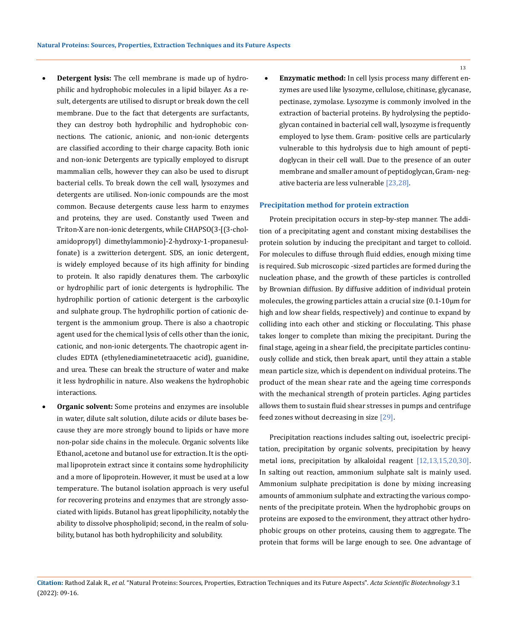- **Detergent lysis:** The cell membrane is made up of hydrophilic and hydrophobic molecules in a lipid bilayer. As a result, detergents are utilised to disrupt or break down the cell membrane. Due to the fact that detergents are surfactants, they can destroy both hydrophilic and hydrophobic connections. The cationic, anionic, and non-ionic detergents are classified according to their charge capacity. Both ionic and non-ionic Detergents are typically employed to disrupt mammalian cells, however they can also be used to disrupt bacterial cells. To break down the cell wall, lysozymes and detergents are utilised. Non-ionic compounds are the most common. Because detergents cause less harm to enzymes and proteins, they are used. Constantly used Tween and Triton-X are non-ionic detergents, while CHAPSO(3-[(3-cholamidopropyl) dimethylammonio]-2-hydroxy-1-propanesulfonate) is a zwitterion detergent. SDS, an ionic detergent, is widely employed because of its high affinity for binding to protein. It also rapidly denatures them. The carboxylic or hydrophilic part of ionic detergents is hydrophilic. The hydrophilic portion of cationic detergent is the carboxylic and sulphate group. The hydrophilic portion of cationic detergent is the ammonium group. There is also a chaotropic agent used for the chemical lysis of cells other than the ionic, cationic, and non-ionic detergents. The chaotropic agent includes EDTA (ethylenediaminetetraacetic acid), guanidine, and urea. These can break the structure of water and make it less hydrophilic in nature. Also weakens the hydrophobic interactions.
- **Organic solvent:** Some proteins and enzymes are insoluble in water, dilute salt solution, dilute acids or dilute bases because they are more strongly bound to lipids or have more non-polar side chains in the molecule. Organic solvents like Ethanol, acetone and butanol use for extraction. It is the optimal lipoprotein extract since it contains some hydrophilicity and a more of lipoprotein. However, it must be used at a low temperature. The butanol isolation approach is very useful for recovering proteins and enzymes that are strongly associated with lipids. Butanol has great lipophilicity, notably the ability to dissolve phospholipid; second, in the realm of solubility, butanol has both hydrophilicity and solubility.

**Enzymatic method:** In cell lysis process many different enzymes are used like lysozyme, cellulose, chitinase, glycanase, pectinase, zymolase. Lysozyme is commonly involved in the extraction of bacterial proteins. By hydrolysing the peptidoglycan contained in bacterial cell wall, lysozyme is frequently employed to lyse them. Gram- positive cells are particularly vulnerable to this hydrolysis due to high amount of peptidoglycan in their cell wall. Due to the presence of an outer membrane and smaller amount of peptidoglycan, Gram- negative bacteria are less vulnerable [23,28].

#### **Precipitation method for protein extraction**

Protein precipitation occurs in step-by-step manner. The addition of a precipitating agent and constant mixing destabilises the protein solution by inducing the precipitant and target to colloid. For molecules to diffuse through fluid eddies, enough mixing time is required. Sub microscopic -sized particles are formed during the nucleation phase, and the growth of these particles is controlled by Brownian diffusion. By diffusive addition of individual protein molecules, the growing particles attain a crucial size (0.1-10µm for high and low shear fields, respectively) and continue to expand by colliding into each other and sticking or flocculating. This phase takes longer to complete than mixing the precipitant. During the final stage, ageing in a shear field, the precipitate particles continuously collide and stick, then break apart, until they attain a stable mean particle size, which is dependent on individual proteins. The product of the mean shear rate and the ageing time corresponds with the mechanical strength of protein particles. Aging particles allows them to sustain fluid shear stresses in pumps and centrifuge feed zones without decreasing in size [29].

Precipitation reactions includes salting out, isoelectric precipitation, precipitation by organic solvents, precipitation by heavy metal ions, precipitation by alkaloidal reagent [12,13,15,20,30]. In salting out reaction, ammonium sulphate salt is mainly used. Ammonium sulphate precipitation is done by mixing increasing amounts of ammonium sulphate and extracting the various components of the precipitate protein. When the hydrophobic groups on proteins are exposed to the environment, they attract other hydrophobic groups on other proteins, causing them to aggregate. The protein that forms will be large enough to see. One advantage of

**Citation:** Rathod Zalak R*., et al.* "Natural Proteins: Sources, Properties, Extraction Techniques and its Future Aspects". *Acta Scientific Biotechnology* 3.1 (2022): 09-16.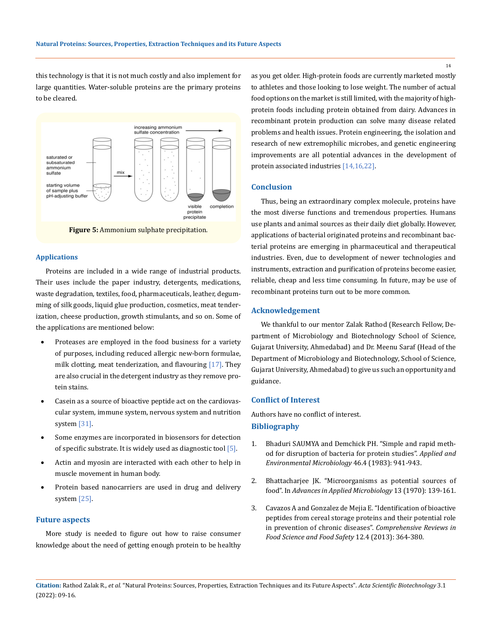this technology is that it is not much costly and also implement for large quantities. Water-soluble proteins are the primary proteins to be cleared.



**Figure 5:** Ammonium sulphate precipitation.

#### **Applications**

Proteins are included in a wide range of industrial products. Their uses include the paper industry, detergents, medications, waste degradation, textiles, food, pharmaceuticals, leather, degumming of silk goods, liquid glue production, cosmetics, meat tenderization, cheese production, growth stimulants, and so on. Some of the applications are mentioned below:

- Proteases are employed in the food business for a variety of purposes, including reduced allergic new-born formulae, milk clotting, meat tenderization, and flavouring [17]. They are also crucial in the detergent industry as they remove protein stains.
- Casein as a source of bioactive peptide act on the cardiovascular system, immune system, nervous system and nutrition system [31].
- Some enzymes are incorporated in biosensors for detection of specific substrate. It is widely used as diagnostic tool [5].
- Actin and myosin are interacted with each other to help in muscle movement in human body.
- Protein based nanocarriers are used in drug and delivery system [25].

### **Future aspects**

More study is needed to figure out how to raise consumer knowledge about the need of getting enough protein to be healthy as you get older. High-protein foods are currently marketed mostly to athletes and those looking to lose weight. The number of actual food options on the market is still limited, with the majority of highprotein foods including protein obtained from dairy. Advances in recombinant protein production can solve many disease related problems and health issues. Protein engineering, the isolation and research of new extremophilic microbes, and genetic engineering improvements are all potential advances in the development of protein associated industries [14,16,22].

# **Conclusion**

Thus, being an extraordinary complex molecule, proteins have the most diverse functions and tremendous properties. Humans use plants and animal sources as their daily diet globally. However, applications of bacterial originated proteins and recombinant bacterial proteins are emerging in pharmaceutical and therapeutical industries. Even, due to development of newer technologies and instruments, extraction and purification of proteins become easier, reliable, cheap and less time consuming. In future, may be use of recombinant proteins turn out to be more common.

# **Acknowledgement**

We thankful to our mentor Zalak Rathod (Research Fellow, Department of Microbiology and Biotechnology School of Science, Gujarat University, Ahmedabad) and Dr. Meenu Saraf (Head of the Department of Microbiology and Biotechnology, School of Science, Gujarat University, Ahmedabad) to give us such an opportunity and guidance.

#### **Conflict of Interest**

Authors have no conflict of interest. **Bibliography**

- 1. [Bhaduri SAUMYA and Demchick PH. "Simple and rapid meth](https://www.ncbi.nlm.nih.gov/pmc/articles/PMC239492/)[od for disruption of bacteria for protein studies".](https://www.ncbi.nlm.nih.gov/pmc/articles/PMC239492/) *Applied and [Environmental Microbiology](https://www.ncbi.nlm.nih.gov/pmc/articles/PMC239492/)* 46.4 (1983): 941-943.
- 2. [Bhattacharjee JK. "Microorganisms as potential sources of](https://www.sciencedirect.com/science/article/abs/pii/S0065216408704039)  food". In *[Advances in Applied Microbiology](https://www.sciencedirect.com/science/article/abs/pii/S0065216408704039)* 13 (1970): 139-161.
- 3. [Cavazos A and Gonzalez de Mejia E. "Identification of bioactive](https://ift.onlinelibrary.wiley.com/doi/abs/10.1111/1541-4337.12017)  [peptides from cereal storage proteins and their potential role](https://ift.onlinelibrary.wiley.com/doi/abs/10.1111/1541-4337.12017)  [in prevention of chronic diseases".](https://ift.onlinelibrary.wiley.com/doi/abs/10.1111/1541-4337.12017) *Comprehensive Reviews in [Food Science and Food Safety](https://ift.onlinelibrary.wiley.com/doi/abs/10.1111/1541-4337.12017)* 12.4 (2013): 364-380.

**Citation:** Rathod Zalak R*., et al.* "Natural Proteins: Sources, Properties, Extraction Techniques and its Future Aspects". *Acta Scientific Biotechnology* 3.1 (2022): 09-16.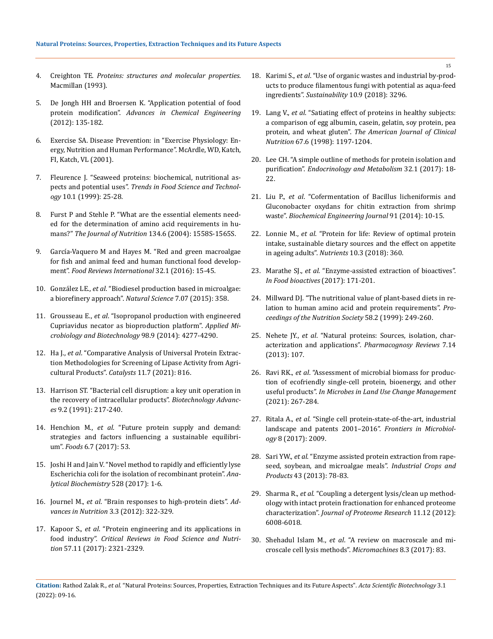- 4. Creighton TE. *Proteins: structures and molecular properties*. Macmillan (1993).
- 5. [De Jongh HH and Broersen K. "Application potential of food](https://www.researchgate.net/publication/224828892_Application_Potential_of_Food_Protein_Modification)  protein modification". *[Advances in Chemical Engineering](https://www.researchgate.net/publication/224828892_Application_Potential_of_Food_Protein_Modification)* [\(2012\): 135-182.](https://www.researchgate.net/publication/224828892_Application_Potential_of_Food_Protein_Modification)
- 6. [Exercise SA. Disease Prevention: in "Exercise Physiology: En](https://www.worldcat.org/title/exercise-physiology-nutrition-energy-and-human-performance/oclc/427608809)[ergy, Nutrition and Human Performance". McArdle, WD, Katch,](https://www.worldcat.org/title/exercise-physiology-nutrition-energy-and-human-performance/oclc/427608809)  [FI, Katch, VL \(2001\).](https://www.worldcat.org/title/exercise-physiology-nutrition-energy-and-human-performance/oclc/427608809)
- 7. [Fleurence J. "Seaweed proteins: biochemical, nutritional as](https://www.sciencedirect.com/science/article/abs/pii/S0924224499000151)pects and potential uses". *[Trends in Food Science and Technol](https://www.sciencedirect.com/science/article/abs/pii/S0924224499000151)ogy* [10.1 \(1999\): 25-28.](https://www.sciencedirect.com/science/article/abs/pii/S0924224499000151)
- 8. [Furst P and Stehle P. "What are the essential elements need](https://pubmed.ncbi.nlm.nih.gov/15173430/)[ed for the determination of amino acid requirements in hu](https://pubmed.ncbi.nlm.nih.gov/15173430/)mans?" *[The Journal of Nutrition](https://pubmed.ncbi.nlm.nih.gov/15173430/)* 134.6 (2004): 1558S-1565S.
- 9. [García-Vaquero M and Hayes M. "Red and green macroalgae](https://www.researchgate.net/publication/280943248_Red_and_Green_Macroalgae_for_fish_animal_feed_and_human_functional_food_development)  [for fish and animal feed and human functional food develop](https://www.researchgate.net/publication/280943248_Red_and_Green_Macroalgae_for_fish_animal_feed_and_human_functional_food_development)ment". *[Food Reviews International](https://www.researchgate.net/publication/280943248_Red_and_Green_Macroalgae_for_fish_animal_feed_and_human_functional_food_development)* 32.1 (2016): 15-45.
- 10. González LE., *et al*[. "Biodiesel production based in microalgae:](https://www.scirp.org/journal/paperinformation.aspx?paperid=57882)  [a biorefinery approach".](https://www.scirp.org/journal/paperinformation.aspx?paperid=57882) *Natural Science* 7.07 (2015): 358.
- 11. Grousseau E., *et al*[. "Isopropanol production with engineered](https://pubmed.ncbi.nlm.nih.gov/24604499/)  [Cupriavidus necator as bioproduction platform".](https://pubmed.ncbi.nlm.nih.gov/24604499/) *Applied Mi[crobiology and Biotechnology](https://pubmed.ncbi.nlm.nih.gov/24604499/)* 98.9 (2014): 4277-4290.
- 12. Ha J., *et al*[. "Comparative Analysis of Universal Protein Extrac](https://www.mdpi.com/2073-4344/11/7/816)[tion Methodologies for Screening of Lipase Activity from Agri](https://www.mdpi.com/2073-4344/11/7/816)[cultural Products".](https://www.mdpi.com/2073-4344/11/7/816) *Catalysts* 11.7 (2021): 816.
- 13. [Harrison ST. "Bacterial cell disruption: a key unit operation in](https://www.sciencedirect.com/science/article/abs/pii/073497509190005G)  [the recovery of intracellular products".](https://www.sciencedirect.com/science/article/abs/pii/073497509190005G) *Biotechnology Advances* [9.2 \(1991\): 217-240.](https://www.sciencedirect.com/science/article/abs/pii/073497509190005G)
- 14. Henchion M., *et al*[. "Future protein supply and demand:](https://pubmed.ncbi.nlm.nih.gov/28726744/)  [strategies and factors influencing a sustainable equilibri](https://pubmed.ncbi.nlm.nih.gov/28726744/)um". *Foods* [6.7 \(2017\): 53.](https://pubmed.ncbi.nlm.nih.gov/28726744/)
- 15. [Joshi H and Jain V. "Novel method to rapidly and efficiently lyse](https://pubmed.ncbi.nlm.nih.gov/28431999/)  [Escherichia coli for the isolation of recombinant protein".](https://pubmed.ncbi.nlm.nih.gov/28431999/) *Ana[lytical Biochemistry](https://pubmed.ncbi.nlm.nih.gov/28431999/)* 528 (2017): 1-6.
- 16. Journel M., *et al*[. "Brain responses to high-protein diets".](https://www.researchgate.net/publication/224958594_Brain_Responses_to_High-Protein_Diets) *Ad[vances in Nutrition](https://www.researchgate.net/publication/224958594_Brain_Responses_to_High-Protein_Diets)* 3.3 (2012): 322-329.
- 17. Kapoor S., *et al*[. "Protein engineering and its applications in](https://www.tandfonline.com/doi/abs/10.1080/10408398.2014.1000481?journalCode=bfsn20)  food industry". *[Critical Reviews in Food Science and Nutri](https://www.tandfonline.com/doi/abs/10.1080/10408398.2014.1000481?journalCode=bfsn20)tion* [57.11 \(2017\): 2321-2329.](https://www.tandfonline.com/doi/abs/10.1080/10408398.2014.1000481?journalCode=bfsn20)
- 18. Karimi S., *et al*[. "Use of organic wastes and industrial by-prod](https://www.mdpi.com/2071-1050/10/9/3296)[ucts to produce filamentous fungi with potential as aqua-feed](https://www.mdpi.com/2071-1050/10/9/3296)  ingredients". *Sustainability* [10.9 \(2018\): 3296.](https://www.mdpi.com/2071-1050/10/9/3296)
- 19. Lang V., *et al*[. "Satiating effect of proteins in healthy subjects:](https://pubmed.ncbi.nlm.nih.gov/9625093/)  [a comparison of egg albumin, casein, gelatin, soy protein, pea](https://pubmed.ncbi.nlm.nih.gov/9625093/)  protein, and wheat gluten". *[The American Journal of Clinical](https://pubmed.ncbi.nlm.nih.gov/9625093/)  Nutrition* [67.6 \(1998\): 1197-1204.](https://pubmed.ncbi.nlm.nih.gov/9625093/)
- 20. [Lee CH. "A simple outline of methods for protein isolation and](https://pubmed.ncbi.nlm.nih.gov/28256117/)  purification". *[Endocrinology and Metabolism](https://pubmed.ncbi.nlm.nih.gov/28256117/)* 32.1 (2017): 18- [22.](https://pubmed.ncbi.nlm.nih.gov/28256117/)
- 21. Liu P., *et al*[. "Cofermentation of Bacillus licheniformis and](https://www.sciencedirect.com/science/article/abs/pii/S1369703X1400196X)  [Gluconobacter oxydans for chitin extraction from shrimp](https://www.sciencedirect.com/science/article/abs/pii/S1369703X1400196X)  waste". *[Biochemical Engineering Journal](https://www.sciencedirect.com/science/article/abs/pii/S1369703X1400196X)* 91 (2014): 10-15.
- 22. Lonnie M., *et al*[. "Protein for life: Review of optimal protein](https://pubmed.ncbi.nlm.nih.gov/29547523/)  [intake, sustainable dietary sources and the effect on appetite](https://pubmed.ncbi.nlm.nih.gov/29547523/)  in ageing adults". *Nutrients* [10.3 \(2018\): 360.](https://pubmed.ncbi.nlm.nih.gov/29547523/)
- 23. Marathe SJ., *et al*[. "Enzyme-assisted extraction of bioactives".](https://www.sciencedirect.com/science/article/abs/pii/S0167779911001181)  *In [Food bioactives](https://www.sciencedirect.com/science/article/abs/pii/S0167779911001181)* (2017): 171-201.
- 24. [Millward DJ. "The nutritional value of plant-based diets in re](https://pubmed.ncbi.nlm.nih.gov/10466163/)[lation to human amino acid and protein requirements".](https://pubmed.ncbi.nlm.nih.gov/10466163/) *Pro[ceedings of the Nutrition Society](https://pubmed.ncbi.nlm.nih.gov/10466163/)* 58.2 (1999): 249-260.
- 25. Nehete JY., *et al*[. "Natural proteins: Sources, isolation, char](https://pubmed.ncbi.nlm.nih.gov/24347918/)[acterization and applications".](https://pubmed.ncbi.nlm.nih.gov/24347918/) *Pharmacognosy Reviews* 7.14 [\(2013\): 107.](https://pubmed.ncbi.nlm.nih.gov/24347918/)
- 26. Ravi RK., *et al*. "Assessment of microbial biomass for production of ecofriendly single-cell protein, bioenergy, and other useful products". *In Microbes in Land Use Change Management* (2021): 267-284.
- 27. Ritala A., *et al*[. "Single cell protein-state-of-the-art, industrial](https://pubmed.ncbi.nlm.nih.gov/29081772/)  [landscape and patents 2001–2016".](https://pubmed.ncbi.nlm.nih.gov/29081772/) *Frontiers in Microbiology* [8 \(2017\): 2009.](https://pubmed.ncbi.nlm.nih.gov/29081772/)
- 28. Sari YW., *et al*[. "Enzyme assisted protein extraction from rape](https://www.wur.nl/en/Publication-details.htm?publicationId=publication-way-343236393237)[seed, soybean, and microalgae meals".](https://www.wur.nl/en/Publication-details.htm?publicationId=publication-way-343236393237) *Industrial Crops and Products* [43 \(2013\): 78-83.](https://www.wur.nl/en/Publication-details.htm?publicationId=publication-way-343236393237)
- 29. Sharma R., *et al*[. "Coupling a detergent lysis/clean up method](https://pubmed.ncbi.nlm.nih.gov/23126408/)[ology with intact protein fractionation for enhanced proteome](https://pubmed.ncbi.nlm.nih.gov/23126408/)  characterization". *[Journal of Proteome Research](https://pubmed.ncbi.nlm.nih.gov/23126408/)* 11.12 (2012): [6008-6018.](https://pubmed.ncbi.nlm.nih.gov/23126408/)
- 30. Shehadul Islam M., *et al*[. "A review on macroscale and mi](https://www.ncbi.nlm.nih.gov/pmc/articles/PMC6190294/)[croscale cell lysis methods".](https://www.ncbi.nlm.nih.gov/pmc/articles/PMC6190294/) *Micromachines* 8.3 (2017): 83.

**Citation:** Rathod Zalak R*., et al.* "Natural Proteins: Sources, Properties, Extraction Techniques and its Future Aspects". *Acta Scientific Biotechnology* 3.1 (2022): 09-16.